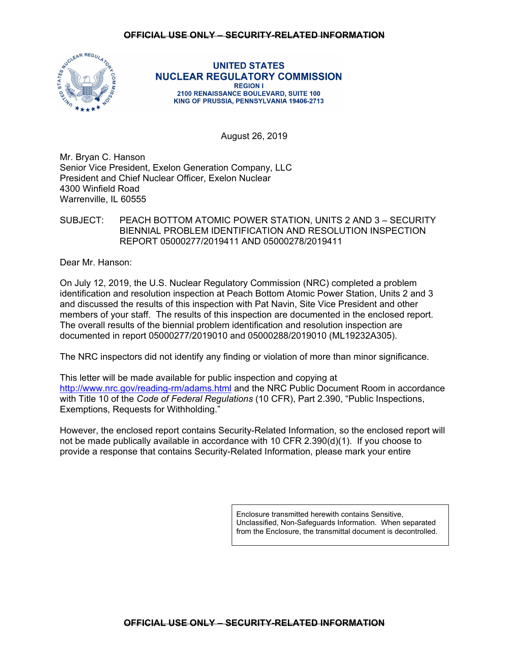

**UNITED STATES NUCLEAR REGULATORY COMMISSION REGION I** 2100 RENAISSANCE BOULEVARD, SUITE 100 KING OF PRUSSIA, PENNSYLVANIA 19406-2713

August 26, 2019

Mr. Bryan C. Hanson Senior Vice President, Exelon Generation Company, LLC President and Chief Nuclear Officer, Exelon Nuclear 4300 Winfield Road Warrenville, IL 60555

SUBJECT: PEACH BOTTOM ATOMIC POWER STATION, UNITS 2 AND 3 – SECURITY BIENNIAL PROBLEM IDENTIFICATION AND RESOLUTION INSPECTION REPORT 05000277/2019411 AND 05000278/2019411

Dear Mr. Hanson:

On July 12, 2019, the U.S. Nuclear Regulatory Commission (NRC) completed a problem identification and resolution inspection at Peach Bottom Atomic Power Station, Units 2 and 3 and discussed the results of this inspection with Pat Navin, Site Vice President and other members of your staff. The results of this inspection are documented in the enclosed report. The overall results of the biennial problem identification and resolution inspection are documented in report 05000277/2019010 and 05000288/2019010 (ML19232A305).

The NRC inspectors did not identify any finding or violation of more than minor significance.

This letter will be made available for public inspection and copying at http://www.nrc.gov/reading-rm/adams.html and the NRC Public Document Room in accordance with Title 10 of the *Code of Federal Regulations* (10 CFR), Part 2.390, "Public Inspections, Exemptions, Requests for Withholding."

However, the enclosed report contains Security-Related Information, so the enclosed report will not be made publically available in accordance with 10 CFR 2.390(d)(1). If you choose to provide a response that contains Security-Related Information, please mark your entire

> Enclosure transmitted herewith contains Sensitive, Unclassified, Non-Safeguards Information. When separated from the Enclosure, the transmittal document is decontrolled.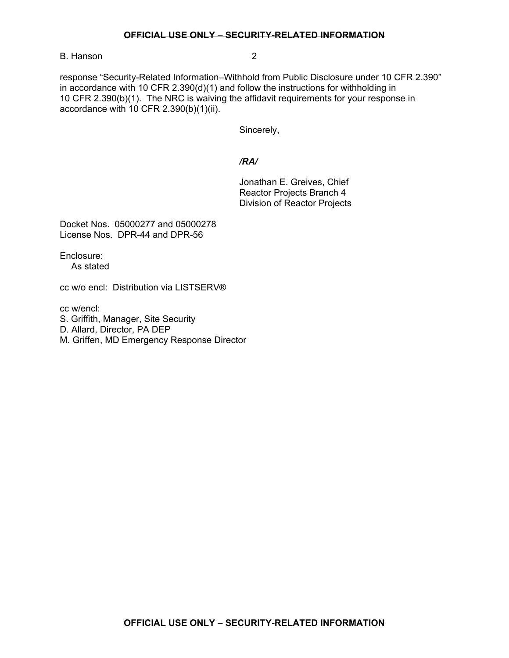### **OFFICIAL USE ONLY – SECURITY-RELATED INFORMATION**

B. Hanson 2

response "Security-Related Information–Withhold from Public Disclosure under 10 CFR 2.390" in accordance with 10 CFR 2.390(d)(1) and follow the instructions for withholding in 10 CFR 2.390(b)(1). The NRC is waiving the affidavit requirements for your response in accordance with 10 CFR 2.390(b)(1)(ii).

Sincerely,

## */RA/*

Jonathan E. Greives, Chief Reactor Projects Branch 4 Division of Reactor Projects

Docket Nos. 05000277 and 05000278 License Nos. DPR-44 and DPR-56

Enclosure: As stated

cc w/o encl: Distribution via LISTSERV®

cc w/encl:

S. Griffith, Manager, Site Security

D. Allard, Director, PA DEP

M. Griffen, MD Emergency Response Director